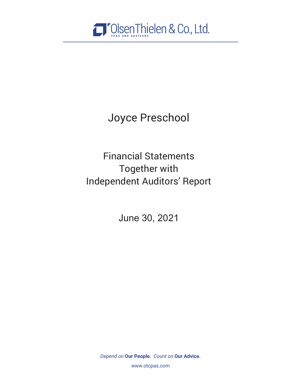

Joyce Preschool

Financial Statements Together with Independent Auditors' Report

June 30, 2021

*Depend on* **Our People.** *Count on* **Our Advice.**

www.otcpas.com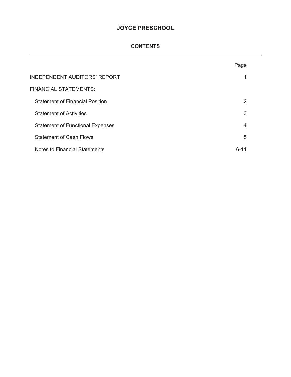# **CONTENTS**

|                                         | Page     |  |
|-----------------------------------------|----------|--|
| <b>INDEPENDENT AUDITORS' REPORT</b>     | 1        |  |
| <b>FINANCIAL STATEMENTS:</b>            |          |  |
| <b>Statement of Financial Position</b>  | 2        |  |
| <b>Statement of Activities</b>          | 3        |  |
| <b>Statement of Functional Expenses</b> | 4        |  |
| <b>Statement of Cash Flows</b>          | 5        |  |
| Notes to Financial Statements           | $6 - 11$ |  |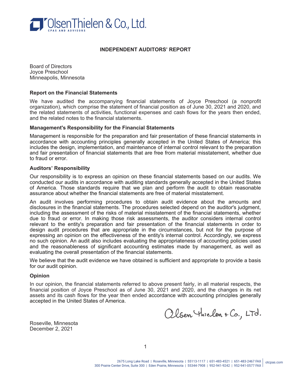

### **INDEPENDENT AUDITORS' REPORT**

Board of Directors Joyce Preschool Minneapolis, Minnesota

#### **Report on the Financial Statements**

We have audited the accompanying financial statements of Joyce Preschool (a nonprofit organization), which comprise the statement of financial position as of June 30, 2021 and 2020, and the related statements of activities, functional expenses and cash flows for the years then ended, and the related notes to the financial statements.

#### **Management's Responsibility for the Financial Statements**

Management is responsible for the preparation and fair presentation of these financial statements in accordance with accounting principles generally accepted in the United States of America; this includes the design, implementation, and maintenance of internal control relevant to the preparation and fair presentation of financial statements that are free from material misstatement, whether due to fraud or error.

#### **Auditors' Responsibility**

Our responsibility is to express an opinion on these financial statements based on our audits. We conducted our audits in accordance with auditing standards generally accepted in the United States of America. Those standards require that we plan and perform the audit to obtain reasonable assurance about whether the financial statements are free of material misstatement.

An audit involves performing procedures to obtain audit evidence about the amounts and disclosures in the financial statements. The procedures selected depend on the auditor's judgment, including the assessment of the risks of material misstatement of the financial statements, whether due to fraud or error. In making those risk assessments, the auditor considers internal control relevant to the entity's preparation and fair presentation of the financial statements in order to design audit procedures that are appropriate in the circumstances, but not for the purpose of expressing an opinion on the effectiveness of the entity's internal control. Accordingly, we express no such opinion. An audit also includes evaluating the appropriateness of accounting policies used and the reasonableness of significant accounting estimates made by management, as well as evaluating the overall presentation of the financial statements.

We believe that the audit evidence we have obtained is sufficient and appropriate to provide a basis for our audit opinion.

### **Opinion**

In our opinion, the financial statements referred to above present fairly, in all material respects, the financial position of Joyce Preschool as of June 30, 2021 and 2020, and the changes in its net assets and its cash flows for the year then ended accordance with accounting principles generally accepted in the United States of America.

Olsen Thielen + Co., LTd.

Roseville, Minnesota December 2, 2021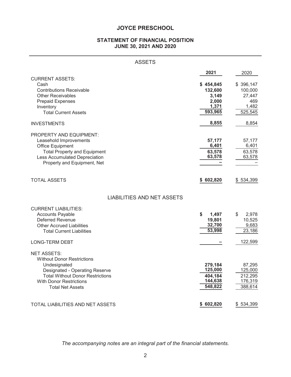# **STATEMENT OF FINANCIAL POSITION JUNE 30, 2021 AND 2020**

| <b>ASSETS</b>                                                                                                                                                                                                            |                                                            |                                                           |
|--------------------------------------------------------------------------------------------------------------------------------------------------------------------------------------------------------------------------|------------------------------------------------------------|-----------------------------------------------------------|
|                                                                                                                                                                                                                          | 2021                                                       | 2020                                                      |
| <b>CURRENT ASSETS:</b><br>Cash<br><b>Contributions Receivable</b><br><b>Other Receivables</b><br><b>Prepaid Expenses</b><br>Inventory<br><b>Total Current Assets</b>                                                     | \$454,845<br>132,600<br>3,149<br>2,000<br>1,371<br>593,965 | \$396,147<br>100,000<br>27,447<br>469<br>1,482<br>525,545 |
| <b>INVESTMENTS</b>                                                                                                                                                                                                       | 8,855                                                      | 8,854                                                     |
| PROPERTY AND EQUIPMENT:<br>Leasehold Improvements<br><b>Office Equipment</b><br><b>Total Property and Equipment</b><br>Less Accumulated Depreciation<br>Property and Equipment, Net                                      | 57,177<br>6,401<br>63,578<br>63,578                        | 57,177<br>6,401<br>63,578<br>63,578                       |
| <b>TOTAL ASSETS</b>                                                                                                                                                                                                      | 602,820<br>\$                                              | \$534,399                                                 |
| <b>LIABILITIES AND NET ASSETS</b>                                                                                                                                                                                        |                                                            |                                                           |
| <b>CURRENT LIABILITIES:</b><br><b>Accounts Payable</b><br><b>Deferred Revenue</b><br><b>Other Accrued Liabilities</b><br><b>Total Current Liabilities</b>                                                                | \$<br>1,497<br>19,801<br>32,700<br>53,998                  | \$<br>2,978<br>10,525<br>9,683<br>23,186                  |
| <b>LONG-TERM DEBT</b>                                                                                                                                                                                                    |                                                            | 122,599                                                   |
| <b>NET ASSETS:</b><br><b>Without Donor Restrictions</b><br>Undesignated<br><b>Designated - Operating Reserve</b><br><b>Total Without Donor Restrictions</b><br><b>With Donor Restrictions</b><br><b>Total Net Assets</b> | 279,184<br>125,000<br>404,184<br>144,638<br>548,822        | 87,295<br>125,000<br>212,295<br>176,319<br>388,614        |
| TOTAL LIABILITIES AND NET ASSETS                                                                                                                                                                                         | \$602,820                                                  | \$534,399                                                 |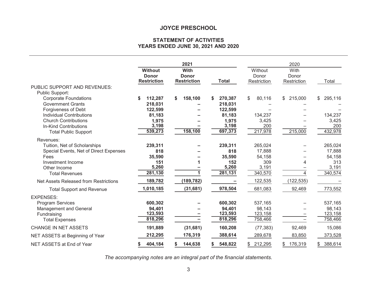#### **STATEMENT OF ACTIVITIES YEARS ENDED JUNE 30, 2021 AND 2020**

|                                                                                                  | <b>Without</b><br><b>Donor</b><br><b>Restriction</b> | 2021<br>With<br><b>Donor</b><br><b>Restriction</b> | <b>Total</b>                            | Without<br>Donor<br>Restriction         | 2020<br>With<br>Donor<br>Restriction | Total                                   |
|--------------------------------------------------------------------------------------------------|------------------------------------------------------|----------------------------------------------------|-----------------------------------------|-----------------------------------------|--------------------------------------|-----------------------------------------|
| <b>PUBLIC SUPPORT AND REVENUES:</b><br>Public Support:                                           |                                                      |                                                    |                                         |                                         |                                      |                                         |
| <b>Corporate Foundations</b><br><b>Government Grants</b>                                         | 112,287<br>\$<br>218,031                             | 158,100<br>S.                                      | S<br>270,387<br>218,031                 | 80,116<br>\$                            | \$215,000                            | 295,116<br>\$                           |
| Forgiveness of Debt<br><b>Individual Contributions</b>                                           | 122,599<br>81,183                                    |                                                    | 122,599<br>81,183                       | 134,237                                 |                                      | 134,237                                 |
| <b>Church Contributions</b><br>In-Kind Contributions<br><b>Total Public Support</b>              | 1,975<br>3,198<br>539,273                            | 158,100                                            | 1,975<br>3,198<br>697,373               | 3,425<br>200<br>217,978                 | 215,000                              | 3,425<br>200<br>432,978                 |
| Revenues:                                                                                        |                                                      |                                                    |                                         |                                         |                                      |                                         |
| Tuition, Net of Scholarships<br>Special Events, Net of Direct Expenses                           | 239,311<br>818                                       |                                                    | 239,311<br>818                          | 265,024<br>17,888                       |                                      | 265,024<br>17,888                       |
| Fees<br>Investment Income                                                                        | 35,590<br>151                                        |                                                    | 35,590<br>152                           | 54,158<br>309                           | 4                                    | 54,158<br>313                           |
| Other Income<br><b>Total Revenues</b>                                                            | 5,260<br>281,130                                     |                                                    | 5,260<br>281,131                        | 3,191<br>340,570                        | 4                                    | 3,191<br>340,574                        |
| Net Assets Released from Restrictions                                                            | 189,782                                              | (189, 782)                                         |                                         | 122,535                                 | (122, 535)                           |                                         |
| <b>Total Support and Revenue</b>                                                                 | 1,010,185                                            | (31,681)                                           | 978,504                                 | 681,083                                 | 92,469                               | 773,552                                 |
| <b>EXPENSES:</b>                                                                                 |                                                      |                                                    |                                         |                                         |                                      |                                         |
| <b>Program Services</b><br><b>Management and General</b><br>Fundraising<br><b>Total Expenses</b> | 600,302<br>94,401<br>123,593<br>818,296              |                                                    | 600,302<br>94,401<br>123,593<br>818,296 | 537,165<br>98,143<br>123,158<br>758,466 |                                      | 537,165<br>98,143<br>123,158<br>758,466 |
| <b>CHANGE IN NET ASSETS</b>                                                                      | 191,889                                              | (31, 681)                                          | 160,208                                 | (77, 383)                               | 92,469                               | 15,086                                  |
| NET ASSETS at Beginning of Year                                                                  | 212,295                                              | 176,319                                            | 388,614                                 | 289,678                                 | 83,850                               | 373,528                                 |
| NET ASSETS at End of Year                                                                        | 404,184<br>S.                                        | 144,638<br>S.                                      | 548,822<br>\$                           | 212,295<br>\$                           | \$176,319                            | 388,614<br>\$                           |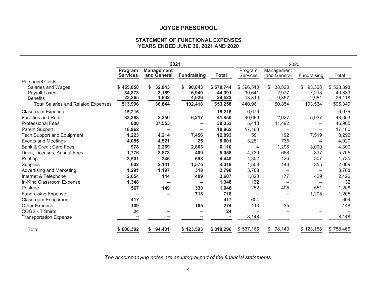## **STATEMENT OF FUNCTIONAL EXPENSES YEARS ENDED JUNE 30, 2021 AND 2020**

|                                                                                                                                                  |                                            | 2021                                     |                                                             |                                                |                                               | 2020                                      |                                                 |                                              |
|--------------------------------------------------------------------------------------------------------------------------------------------------|--------------------------------------------|------------------------------------------|-------------------------------------------------------------|------------------------------------------------|-----------------------------------------------|-------------------------------------------|-------------------------------------------------|----------------------------------------------|
|                                                                                                                                                  | Program<br><b>Services</b>                 | <b>Management</b><br>and General         | <b>Fundraising</b>                                          | <b>Total</b>                                   | Program<br><b>Services</b>                    | Management<br>and General                 | Fundraising                                     | Total                                        |
| <b>Personnel Costs:</b><br>Salaries and Wages<br><b>Payroll Taxes</b><br><b>Benefits</b><br><b>Total Salaries and Related Expenses</b>           | \$455,858<br>34,873<br>23,265<br>513,996   | 32,043<br>S.<br>3,169<br>1,632<br>36,844 | 90,843<br>S.<br>6,949<br>4,626<br>102,418                   | \$578,744<br>44,991<br>29,523<br>653,258       | \$396,510<br>30,641<br>13,810<br>440,961      | 38,520<br>\$<br>2,977<br>9,357<br>50,854  | 93,368<br>\$<br>7,215<br>2,951<br>103,534       | \$528,398<br>40,833<br>26,118<br>595,349     |
| <b>Classroom Expense</b><br><b>Facilities and Rent</b><br><b>Professional Fees</b><br><b>Parent Support</b><br><b>Tech Support and Equipment</b> | 15,216<br>33,383<br>800<br>18,962<br>1,223 | $\equiv$<br>2,250<br>37,553<br>4,214     | $\overline{\phantom{0}}$<br>6,217<br>-<br>$\equiv$<br>7,456 | 15,216<br>41,850<br>38,353<br>18,962<br>12,893 | 6,679<br>40,689<br>5,413<br>17,160<br>581     | 2,027<br>41,492<br>$\qquad \qquad$<br>192 | 5,937<br>—<br>$\overline{\phantom{0}}$<br>7,519 | 6,679<br>48,653<br>46,905<br>17,160<br>8,292 |
| <b>Events and Meetings</b><br><b>Bank &amp; Credit Card Fees</b><br>Dues, Licenses, Annual Fees                                                  | 4,055<br>978<br>1,776                      | 4,521<br>2,269<br>2,873                  | 25<br>2,863<br>409                                          | 8,601<br>6,110<br>5,058                        | 3,281<br>4<br>4,730                           | 735<br>1,296<br>658                       | 4<br>3,000<br>317                               | 4,020<br>4,300<br>5,705                      |
| Printing<br>Supplies<br>Advertising and Marketing<br>Internet & Telephone                                                                        | 3,501<br>602<br>1,291<br>2,054             | 246<br>2,141<br>1,197<br>144             | 698<br>1,575<br>310<br>409                                  | 4,445<br>4,318<br>2,798<br>2,607               | 1,302<br>1,508<br>3,788<br>1,820              | 126<br>146<br>177                         | 307<br>355<br>$\qquad \qquad -$<br>429          | 1,735<br>2,009<br>3,788<br>2,426             |
| In-Kind Classroom Expense<br>Postage<br><b>Fundraising Expense</b><br><b>Classroom Enrichment</b>                                                | 1,348<br>567<br>417                        | $\equiv$<br>149                          | -<br>330<br>718<br>$\qquad \qquad =$                        | 1,348<br>1,046<br>718<br>417                   | 132<br>252<br>$\overline{\phantom{m}}$<br>604 | 405                                       | $\overline{\phantom{0}}$<br>551<br>1,205        | 132<br>1,208<br>1,205<br>604                 |
| Other Expense<br>COGS - T Shirts<br><b>Transportation Expense</b>                                                                                | 109<br>24                                  |                                          | 165                                                         | 274<br>24                                      | 113<br>8,148                                  | 35                                        |                                                 | 148<br>8,148                                 |
| Total                                                                                                                                            | \$600,302                                  | 94,401<br>S.                             | \$123,593                                                   | \$818,296                                      | \$537,165                                     | 98,143<br>\$                              | \$123,158                                       | \$758,466                                    |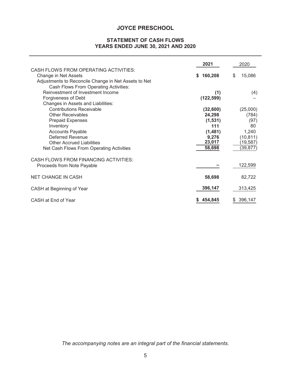# **STATEMENT OF CASH FLOWS YEARS ENDED JUNE 30, 2021 AND 2020**

|                                                                                                                                                                       | 2021            | 2020                  |
|-----------------------------------------------------------------------------------------------------------------------------------------------------------------------|-----------------|-----------------------|
| CASH FLOWS FROM OPERATING ACTIVITIES:<br>Change in Net Assets<br>Adjustments to Reconcile Change in Net Assets to Net<br><b>Cash Flows From Operating Activities:</b> | 160,208<br>\$   | \$<br>15,086          |
| Reinvestment of Investment Income                                                                                                                                     | (1)             | (4)                   |
| Forgiveness of Debt<br>Changes in Assets and Liabilities:                                                                                                             | (122, 599)      |                       |
| <b>Contributions Receivable</b>                                                                                                                                       | (32,600)        | (25,000)              |
| <b>Other Receivables</b>                                                                                                                                              | 24,298          | (784)                 |
| <b>Prepaid Expenses</b><br>Inventory                                                                                                                                  | (1,531)<br>111  | (97)<br>80            |
| <b>Accounts Payable</b>                                                                                                                                               | (1,481)         | 1,240                 |
| <b>Deferred Revenue</b><br><b>Other Accrued Liabilities</b>                                                                                                           | 9,276<br>23,017 | (10, 811)<br>(19,587) |
| Net Cash Flows From Operating Activities                                                                                                                              | 58,698          | (39,877)              |
| CASH FLOWS FROM FINANCING ACTIVITIES:                                                                                                                                 |                 |                       |
| Proceeds from Note Payable                                                                                                                                            |                 | 122,599               |
| <b>NET CHANGE IN CASH</b>                                                                                                                                             | 58,698          | 82,722                |
| CASH at Beginning of Year                                                                                                                                             | 396,147         | 313,425               |
| CASH at End of Year                                                                                                                                                   | 454,845         | 396,147<br>SS.        |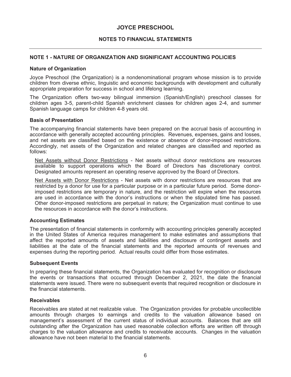## **NOTES TO FINANCIAL STATEMENTS**

## **NOTE 1 - NATURE OF ORGANIZATION AND SIGNIFICANT ACCOUNTING POLICIES**

#### **Nature of Organization**

Joyce Preschool (the Organization) is a nondenominational program whose mission is to provide children from diverse ethnic, linguistic and economic backgrounds with development and culturally appropriate preparation for success in school and lifelong learning.

The Organization offers two-way bilingual immersion (Spanish/English) preschool classes for children ages 3-5, parent-child Spanish enrichment classes for children ages 2-4, and summer Spanish language camps for children 4-8 years old.

#### **Basis of Presentation**

The accompanying financial statements have been prepared on the accrual basis of accounting in accordance with generally accepted accounting principles. Revenues, expenses, gains and losses, and net assets are classified based on the existence or absence of donor-imposed restrictions. Accordingly, net assets of the Organization and related changes are classified and reported as follows:

Net Assets without Donor Restrictions - Net assets without donor restrictions are resources available to support operations which the Board of Directors has discretionary control. Designated amounts represent an operating reserve approved by the Board of Directors.

Net Assets with Donor Restrictions - Net assets with donor restrictions are resources that are restricted by a donor for use for a particular purpose or in a particular future period. Some donorimposed restrictions are temporary in nature, and the restriction will expire when the resources are used in accordance with the donor's instructions or when the stipulated time has passed. Other donor-imposed restrictions are perpetual in nature; the Organization must continue to use the resources in accordance with the donor's instructions.

## **Accounting Estimates**

The presentation of financial statements in conformity with accounting principles generally accepted in the United States of America requires management to make estimates and assumptions that affect the reported amounts of assets and liabilities and disclosure of contingent assets and liabilities at the date of the financial statements and the reported amounts of revenues and expenses during the reporting period. Actual results could differ from those estimates.

#### **Subsequent Events**

In preparing these financial statements, the Organization has evaluated for recognition or disclosure the events or transactions that occurred through December 2, 2021, the date the financial statements were issued. There were no subsequent events that required recognition or disclosure in the financial statements.

#### **Receivables**

Receivables are stated at net realizable value. The Organization provides for probable uncollectible amounts through charges to earnings and credits to the valuation allowance based on management's assessment of the current status of individual accounts. Balances that are still outstanding after the Organization has used reasonable collection efforts are written off through charges to the valuation allowance and credits to receivable accounts. Changes in the valuation allowance have not been material to the financial statements.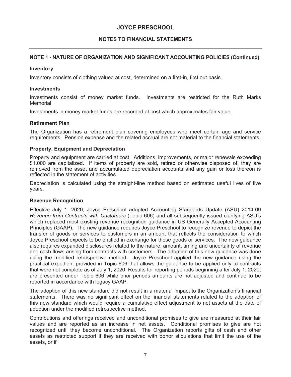# **NOTES TO FINANCIAL STATEMENTS**

# **NOTE 1 - NATURE OF ORGANIZATION AND SIGNIFICANT ACCOUNTING POLICIES (Continued)**

## **Inventory**

Inventory consists of clothing valued at cost, determined on a first-in, first out basis.

### **Investments**

Investments consist of money market funds. Investments are restricted for the Ruth Marks Memorial.

Investments in money market funds are recorded at cost which approximates fair value.

## **Retirement Plan**

The Organization has a retirement plan covering employees who meet certain age and service requirements. Pension expense and the related accrual are not material to the financial statements.

## **Property, Equipment and Depreciation**

Property and equipment are carried at cost. Additions, improvements, or major renewals exceeding \$1,000 are capitalized. If items of property are sold, retired or otherwise disposed of, they are removed from the asset and accumulated depreciation accounts and any gain or loss thereon is reflected in the statement of activities.

Depreciation is calculated using the straight-line method based on estimated useful lives of five years.

### **Revenue Recognition**

Effective July 1, 2020, Joyce Preschool adopted Accounting Standards Update (ASU) 2014-09 *Revenue from Contracts with Customers* (Topic 606) and all subsequently issued clarifying ASU's which replaced most existing revenue recognition guidance in US Generally Accepted Accounting Principles (GAAP). The new guidance requires Joyce Preschool to recognize revenue to depict the transfer of goods or services to customers in an amount that reflects the consideration to which Joyce Preschool expects to be entitled in exchange for those goods or services. The new guidance also requires expanded disclosures related to the nature, amount, timing and uncertainty of revenue and cash flows arising from contracts with customers. The adoption of this new guidance was done using the modified retrospective method. Joyce Preschool applied the new guidance using the practical expedient provided in Topic 606 that allows the guidance to be applied only to contracts that were not complete as of July 1, 2020. Results for reporting periods beginning after July 1, 2020, are presented under Topic 606 while prior periods amounts are not adjusted and continue to be reported in accordance with legacy GAAP.

The adoption of this new standard did not result in a material impact to the Organization's financial statements. There was no significant effect on the financial statements related to the adoption of this new standard which would require a cumulative effect adjustment to net assets at the date of adoption under the modified retrospective method.

Contributions and offerings received and unconditional promises to give are measured at their fair values and are reported as an increase in net assets. Conditional promises to give are not recognized until they become unconditional. The Organization reports gifts of cash and other assets as restricted support if they are received with donor stipulations that limit the use of the assets, or if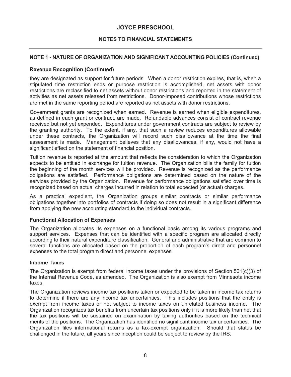## **NOTES TO FINANCIAL STATEMENTS**

## **NOTE 1 - NATURE OF ORGANIZATION AND SIGNIFICANT ACCOUNTING POLICIES (Continued)**

#### **Revenue Recognition (Continued)**

they are designated as support for future periods. When a donor restriction expires, that is, when a stipulated time restriction ends or purpose restriction is accomplished, net assets with donor restrictions are reclassified to net assets without donor restrictions and reported in the statement of activities as net assets released from restrictions. Donor-imposed contributions whose restrictions are met in the same reporting period are reported as net assets with donor restrictions.

Government grants are recognized when earned. Revenue is earned when eligible expenditures, as defined in each grant or contract, are made. Refundable advances consist of contract revenue received but not yet expended. Expenditures under government contracts are subject to review by the granting authority. To the extent, if any, that such a review reduces expenditures allowable under these contracts, the Organization will record such disallowance at the time the final assessment is made. Management believes that any disallowances, if any, would not have a significant effect on the statement of financial position.

Tuition revenue is reported at the amount that reflects the consideration to which the Organization expects to be entitled in exchange for tuition revenue. The Organization bills the family for tuition the beginning of the month services will be provided. Revenue is recognized as the performance obligations are satisfied. Performance obligations are determined based on the nature of the services provided by the Organization. Revenue for performance obligations satisfied over time is recognized based on actual charges incurred in relation to total expected (or actual) charges.

As a practical expedient, the Organization groups similar contracts or similar performance obligations together into portfolios of contracts if doing so does not result in a significant difference from applying the new accounting standard to the individual contracts.

### **Functional Allocation of Expenses**

The Organization allocates its expenses on a functional basis among its various programs and support services. Expenses that can be identified with a specific program are allocated directly according to their natural expenditure classification. General and administrative that are common to several functions are allocated based on the proportion of each program's direct and personnel expenses to the total program direct and personnel expenses.

#### **Income Taxes**

The Organization is exempt from federal income taxes under the provisions of Section 501(c)(3) of the Internal Revenue Code, as amended. The Organization is also exempt from Minnesota income taxes.

The Organization reviews income tax positions taken or expected to be taken in income tax returns to determine if there are any income tax uncertainties. This includes positions that the entity is exempt from income taxes or not subject to income taxes on unrelated business income. The Organization recognizes tax benefits from uncertain tax positions only if it is more likely than not that the tax positions will be sustained on examination by taxing authorities based on the technical merits of the positions. The Organization has identified no significant income tax uncertainties. The Organization files informational returns as a tax-exempt organization. Should that status be challenged in the future, all years since inception could be subject to review by the IRS.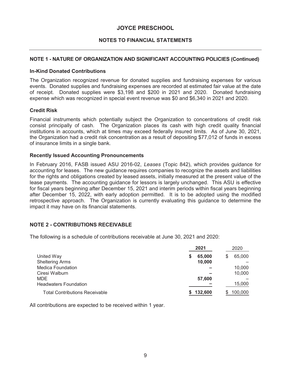## **NOTES TO FINANCIAL STATEMENTS**

## **NOTE 1 - NATURE OF ORGANIZATION AND SIGNIFICANT ACCOUNTING POLICIES (Continued)**

### **In-Kind Donated Contributions**

The Organization recognized revenue for donated supplies and fundraising expenses for various events. Donated supplies and fundraising expenses are recorded at estimated fair value at the date of receipt. Donated supplies were \$3,198 and \$200 in 2021 and 2020. Donated fundraising expense which was recognized in special event revenue was \$0 and \$6,340 in 2021 and 2020.

### **Credit Risk**

Financial instruments which potentially subject the Organization to concentrations of credit risk consist principally of cash. The Organization places its cash with high credit quality financial institutions in accounts, which at times may exceed federally insured limits. As of June 30, 2021, the Organization had a credit risk concentration as a result of depositing \$77,012 of funds in excess of insurance limits in a single bank.

### **Recently Issued Accounting Pronouncements**

In February 2016, FASB issued ASU 2016-02, *Leases* (Topic 842), which provides guidance for accounting for leases. The new guidance requires companies to recognize the assets and liabilities for the rights and obligations created by leased assets, initially measured at the present value of the lease payments. The accounting guidance for lessors is largely unchanged. This ASU is effective for fiscal years beginning after December 15, 2021 and interim periods within fiscal years beginning after December 15, 2022, with early adoption permitted. It is to be adopted using the modified retrospective approach. The Organization is currently evaluating this guidance to determine the impact it may have on its financial statements.

## **NOTE 2 - CONTRIBUTIONS RECEIVABLE**

The following is a schedule of contributions receivable at June 30, 2021 and 2020:

|                                       | 2021        | 2020         |
|---------------------------------------|-------------|--------------|
| United Way                            | 65,000<br>S | 65,000<br>\$ |
| <b>Sheltering Arms</b>                | 10,000      |              |
| <b>Medica Foundation</b>              |             | 10,000       |
| Ciresi Walburn                        |             | 10,000       |
| <b>MDE</b>                            | 57,600      |              |
| <b>Headwaters Foundation</b>          |             | 15,000       |
| <b>Total Contributions Receivable</b> | \$132,600   | 100,000      |

All contributions are expected to be received within 1 year.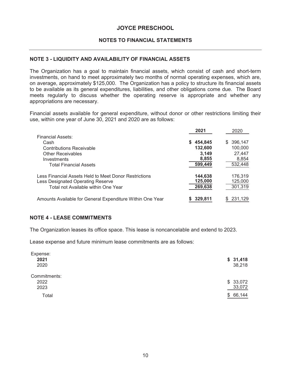## **NOTES TO FINANCIAL STATEMENTS**

### **NOTE 3 - LIQUIDITY AND AVAILABILITY OF FINANCIAL ASSETS**

The Organization has a goal to maintain financial assets, which consist of cash and short-term investments, on hand to meet approximately two months of normal operating expenses, which are, on average, approximately \$125,000. The Organization has a policy to structure its financial assets to be available as its general expenditures, liabilities, and other obligations come due. The Board meets regularly to discuss whether the operating reserve is appropriate and whether any appropriations are necessary.

Financial assets available for general expenditure, without donor or other restrictions limiting their use, within one year of June 30, 2021 and 2020 are as follows:

|                                                           | 2021      | 2020          |
|-----------------------------------------------------------|-----------|---------------|
| Financial Assets:                                         |           |               |
| Cash                                                      | \$454,845 | 396,147<br>S. |
| <b>Contributions Receivable</b>                           | 132,600   | 100,000       |
| <b>Other Receivables</b>                                  | 3.149     | 27,447        |
| Investments                                               | 8,855     | 8,854         |
| <b>Total Financial Assets</b>                             | 599,449   | 532,448       |
| Less Financial Assets Held to Meet Donor Restrictions     | 144,638   | 176,319       |
| Less Designated Operating Reserve                         | 125,000   | 125,000       |
| Total not Available within One Year                       | 269,638   | 301,319       |
| Amounts Available for General Expenditure Within One Year | 329,811   | 231,129       |

### **NOTE 4 - LEASE COMMITMENTS**

The Organization leases its office space. This lease is noncancelable and extend to 2023.

Lease expense and future minimum lease commitments are as follows:

| Expense:<br>2021<br>2020     | \$31,418<br>38,218 |
|------------------------------|--------------------|
| Commitments:<br>2022<br>2023 | \$33,072<br>33,072 |
| Total                        | \$<br>66,144       |